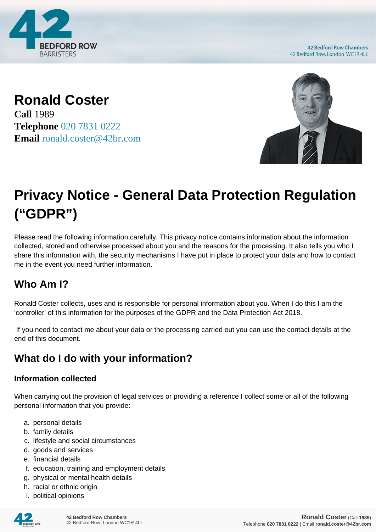

**42 Bedford Row Chambers** 42 Bedford Row, London WC1R 4LL

**Ronald Coster Call** 1989

**Telephone** [020 7831 0222](https://pdf.codeshore.co/_42br/tel:020 7831 0222) **Email** [ronald.coster@42br.com](mailto:ronald.coster@42br.com)



# **Privacy Notice - General Data Protection Regulation ("GDPR")**

Please read the following information carefully. This privacy notice contains information about the information collected, stored and otherwise processed about you and the reasons for the processing. It also tells you who I share this information with, the security mechanisms I have put in place to protect your data and how to contact me in the event you need further information.

# **Who Am I?**

Ronald Coster collects, uses and is responsible for personal information about you. When I do this I am the 'controller' of this information for the purposes of the GDPR and the Data Protection Act 2018.

 If you need to contact me about your data or the processing carried out you can use the contact details at the end of this document.

# **What do I do with your information?**

#### **Information collected**

When carrying out the provision of legal services or providing a reference I collect some or all of the following personal information that you provide:

- a. personal details
- b. family details
- c. lifestyle and social circumstances
- d. goods and services
- e. financial details
- f. education, training and employment details
- g. physical or mental health details
- h. racial or ethnic origin
- i. political opinions

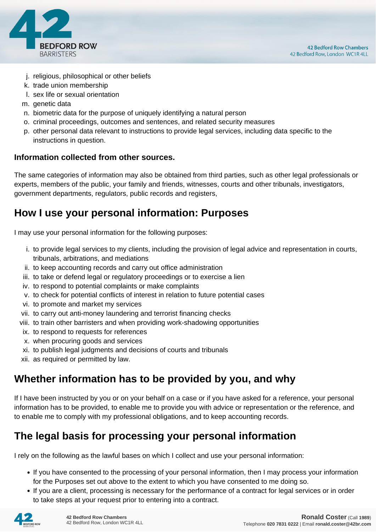

- j. religious, philosophical or other beliefs
- k. trade union membership
- l. sex life or sexual orientation
- m. genetic data
- n. biometric data for the purpose of uniquely identifying a natural person
- o. criminal proceedings, outcomes and sentences, and related security measures
- p. other personal data relevant to instructions to provide legal services, including data specific to the instructions in question.

#### **Information collected from other sources.**

The same categories of information may also be obtained from third parties, such as other legal professionals or experts, members of the public, your family and friends, witnesses, courts and other tribunals, investigators, government departments, regulators, public records and registers,

#### **How I use your personal information: Purposes**

I may use your personal information for the following purposes:

- i. to provide legal services to my clients, including the provision of legal advice and representation in courts, tribunals, arbitrations, and mediations
- ii. to keep accounting records and carry out office administration
- iii. to take or defend legal or regulatory proceedings or to exercise a lien
- iv. to respond to potential complaints or make complaints
- v. to check for potential conflicts of interest in relation to future potential cases
- vi. to promote and market my services
- vii. to carry out anti-money laundering and terrorist financing checks
- viii. to train other barristers and when providing work-shadowing opportunities
- ix. to respond to requests for references
- x. when procuring goods and services
- xi. to publish legal judgments and decisions of courts and tribunals
- xii. as required or permitted by law.

### **Whether information has to be provided by you, and why**

If I have been instructed by you or on your behalf on a case or if you have asked for a reference, your personal information has to be provided, to enable me to provide you with advice or representation or the reference, and to enable me to comply with my professional obligations, and to keep accounting records.

### **The legal basis for processing your personal information**

I rely on the following as the lawful bases on which I collect and use your personal information:

- If you have consented to the processing of your personal information, then I may process your information for the Purposes set out above to the extent to which you have consented to me doing so.
- If you are a client, processing is necessary for the performance of a contract for legal services or in order to take steps at your request prior to entering into a contract.

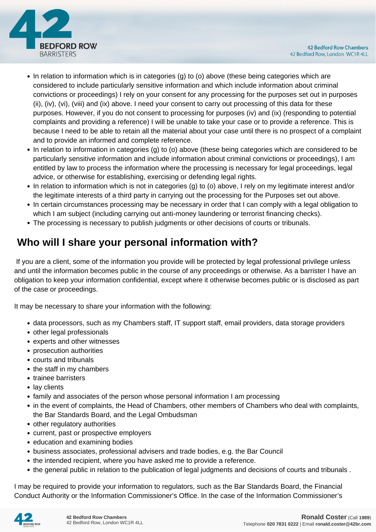

- In relation to information which is in categories (g) to (o) above (these being categories which are considered to include particularly sensitive information and which include information about criminal convictions or proceedings) I rely on your consent for any processing for the purposes set out in purposes (ii), (iv), (vi), (viii) and (ix) above. I need your consent to carry out processing of this data for these purposes. However, if you do not consent to processing for purposes (iv) and (ix) (responding to potential complaints and providing a reference) I will be unable to take your case or to provide a reference. This is because I need to be able to retain all the material about your case until there is no prospect of a complaint and to provide an informed and complete reference.
- In relation to information in categories (g) to (o) above (these being categories which are considered to be particularly sensitive information and include information about criminal convictions or proceedings), I am entitled by law to process the information where the processing is necessary for legal proceedings, legal advice, or otherwise for establishing, exercising or defending legal rights.
- In relation to information which is not in categories (g) to (o) above, I rely on my legitimate interest and/or the legitimate interests of a third party in carrying out the processing for the Purposes set out above.
- In certain circumstances processing may be necessary in order that I can comply with a legal obligation to which I am subject (including carrying out anti-money laundering or terrorist financing checks).
- The processing is necessary to publish judgments or other decisions of courts or tribunals.

# **Who will I share your personal information with?**

 If you are a client, some of the information you provide will be protected by legal professional privilege unless and until the information becomes public in the course of any proceedings or otherwise. As a barrister I have an obligation to keep your information confidential, except where it otherwise becomes public or is disclosed as part of the case or proceedings.

It may be necessary to share your information with the following:

- data processors, such as my Chambers staff, IT support staff, email providers, data storage providers
- other legal professionals
- experts and other witnesses
- prosecution authorities
- courts and tribunals
- the staff in my chambers
- trainee barristers
- lay clients
- family and associates of the person whose personal information I am processing
- in the event of complaints, the Head of Chambers, other members of Chambers who deal with complaints, the Bar Standards Board, and the Legal Ombudsman
- other regulatory authorities
- current, past or prospective employers
- education and examining bodies
- business associates, professional advisers and trade bodies, e.g. the Bar Council
- the intended recipient, where you have asked me to provide a reference.
- the general public in relation to the publication of legal judgments and decisions of courts and tribunals .

I may be required to provide your information to regulators, such as the Bar Standards Board, the Financial Conduct Authority or the Information Commissioner's Office. In the case of the Information Commissioner's

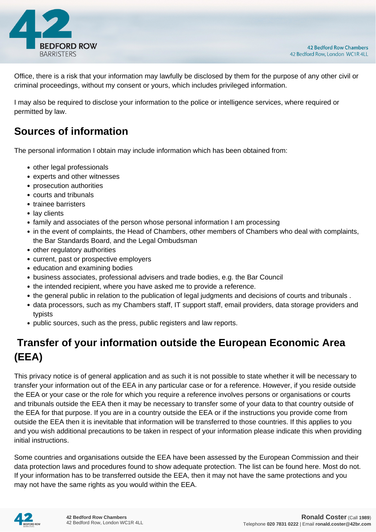

Office, there is a risk that your information may lawfully be disclosed by them for the purpose of any other civil or criminal proceedings, without my consent or yours, which includes privileged information.

I may also be required to disclose your information to the police or intelligence services, where required or permitted by law.

### **Sources of information**

The personal information I obtain may include information which has been obtained from:

- other legal professionals
- experts and other witnesses
- prosecution authorities
- courts and tribunals
- trainee barristers
- lay clients
- family and associates of the person whose personal information I am processing
- in the event of complaints, the Head of Chambers, other members of Chambers who deal with complaints, the Bar Standards Board, and the Legal Ombudsman
- other regulatory authorities
- current, past or prospective employers
- education and examining bodies
- business associates, professional advisers and trade bodies, e.g. the Bar Council
- the intended recipient, where you have asked me to provide a reference.
- the general public in relation to the publication of legal judgments and decisions of courts and tribunals .
- data processors, such as my Chambers staff, IT support staff, email providers, data storage providers and typists
- public sources, such as the press, public registers and law reports.

# **Transfer of your information outside the European Economic Area (EEA)**

This privacy notice is of general application and as such it is not possible to state whether it will be necessary to transfer your information out of the EEA in any particular case or for a reference. However, if you reside outside the EEA or your case or the role for which you require a reference involves persons or organisations or courts and tribunals outside the EEA then it may be necessary to transfer some of your data to that country outside of the EEA for that purpose. If you are in a country outside the EEA or if the instructions you provide come from outside the EEA then it is inevitable that information will be transferred to those countries. If this applies to you and you wish additional precautions to be taken in respect of your information please indicate this when providing initial instructions.

Some countries and organisations outside the EEA have been assessed by the European Commission and their data protection laws and procedures found to show adequate protection. The list can be found here. Most do not. If your information has to be transferred outside the EEA, then it may not have the same protections and you may not have the same rights as you would within the EEA.

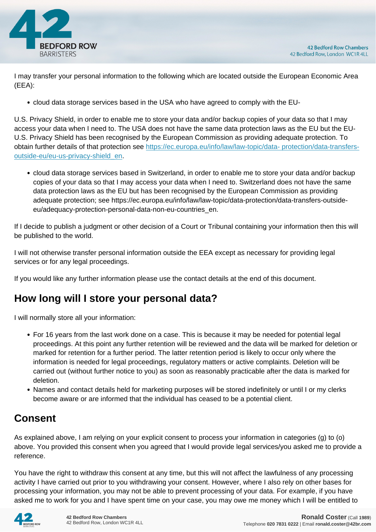

I may transfer your personal information to the following which are located outside the European Economic Area (EEA):

cloud data storage services based in the USA who have agreed to comply with the EU-

U.S. Privacy Shield, in order to enable me to store your data and/or backup copies of your data so that I may access your data when I need to. The USA does not have the same data protection laws as the EU but the EU-U.S. Privacy Shield has been recognised by the European Commission as providing adequate protection. To obtain further details of that protection see [https://ec.europa.eu/info/law/law-topic/data- protection/data-transfers](https://ec.europa.eu/info/law/law-topic/data- protection/data-transfers-outside-eu/eu-us-privacy-shield_en)[outside-eu/eu-us-privacy-shield\\_en.](https://ec.europa.eu/info/law/law-topic/data- protection/data-transfers-outside-eu/eu-us-privacy-shield_en)

cloud data storage services based in Switzerland, in order to enable me to store your data and/or backup copies of your data so that I may access your data when I need to. Switzerland does not have the same data protection laws as the EU but has been recognised by the European Commission as providing adequate protection; see https://ec.europa.eu/info/law/law-topic/data-protection/data-transfers-outsideeu/adequacy-protection-personal-data-non-eu-countries\_en.

If I decide to publish a judgment or other decision of a Court or Tribunal containing your information then this will be published to the world.

I will not otherwise transfer personal information outside the EEA except as necessary for providing legal services or for any legal proceedings.

If you would like any further information please use the contact details at the end of this document.

### **How long will I store your personal data?**

I will normally store all your information:

- For 16 years from the last work done on a case. This is because it may be needed for potential legal proceedings. At this point any further retention will be reviewed and the data will be marked for deletion or marked for retention for a further period. The latter retention period is likely to occur only where the information is needed for legal proceedings, regulatory matters or active complaints. Deletion will be carried out (without further notice to you) as soon as reasonably practicable after the data is marked for deletion.
- Names and contact details held for marketing purposes will be stored indefinitely or until I or my clerks become aware or are informed that the individual has ceased to be a potential client.

# **Consent**

As explained above, I am relying on your explicit consent to process your information in categories (g) to (o) above. You provided this consent when you agreed that I would provide legal services/you asked me to provide a reference.

You have the right to withdraw this consent at any time, but this will not affect the lawfulness of any processing activity I have carried out prior to you withdrawing your consent. However, where I also rely on other bases for processing your information, you may not be able to prevent processing of your data. For example, if you have asked me to work for you and I have spent time on your case, you may owe me money which I will be entitled to

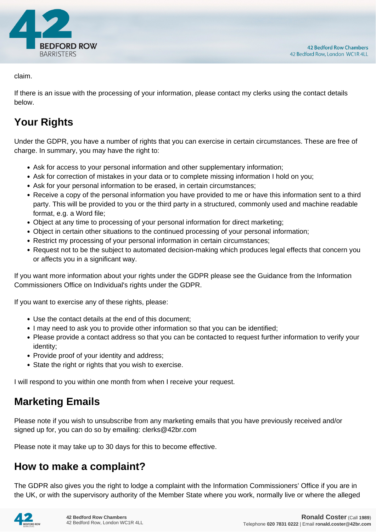

claim.

If there is an issue with the processing of your information, please contact my clerks using the contact details below.

# **Your Rights**

Under the GDPR, you have a number of rights that you can exercise in certain circumstances. These are free of charge. In summary, you may have the right to:

- Ask for access to your personal information and other supplementary information;
- Ask for correction of mistakes in your data or to complete missing information I hold on you;
- Ask for your personal information to be erased, in certain circumstances;
- Receive a copy of the personal information you have provided to me or have this information sent to a third party. This will be provided to you or the third party in a structured, commonly used and machine readable format, e.g. a Word file;
- Object at any time to processing of your personal information for direct marketing;
- Object in certain other situations to the continued processing of your personal information;
- Restrict my processing of your personal information in certain circumstances;
- Request not to be the subject to automated decision-making which produces legal effects that concern you or affects you in a significant way.

If you want more information about your rights under the GDPR please see the Guidance from the Information Commissioners Office on Individual's rights under the GDPR.

If you want to exercise any of these rights, please:

- Use the contact details at the end of this document;
- I may need to ask you to provide other information so that you can be identified;
- Please provide a contact address so that you can be contacted to request further information to verify your identity;
- Provide proof of your identity and address;
- State the right or rights that you wish to exercise.

I will respond to you within one month from when I receive your request.

### **Marketing Emails**

Please note if you wish to unsubscribe from any marketing emails that you have previously received and/or signed up for, you can do so by emailing: clerks@42br.com

Please note it may take up to 30 days for this to become effective.

### **How to make a complaint?**

The GDPR also gives you the right to lodge a complaint with the Information Commissioners' Office if you are in the UK, or with the supervisory authority of the Member State where you work, normally live or where the alleged